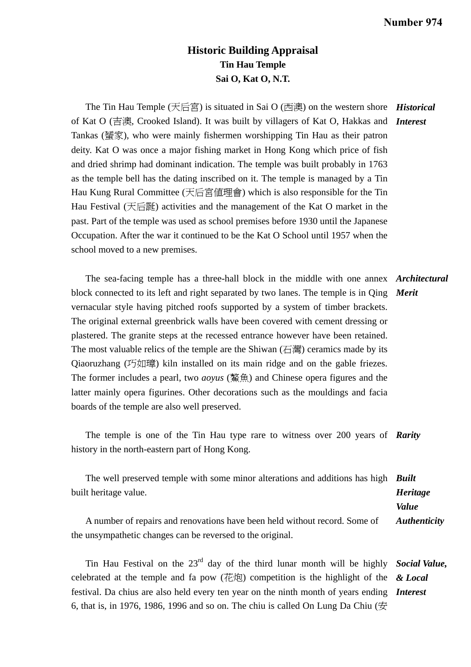## **Historic Building Appraisal Tin Hau Temple Sai O, Kat O, N.T.**

The Tin Hau Temple (天后宮) is situated in Sai O (西澳) on the western shore *Historical*  of Kat O (吉澳, Crooked Island). It was built by villagers of Kat O, Hakkas and *Interest*  Tankas (蜑家), who were mainly fishermen worshipping Tin Hau as their patron deity. Kat O was once a major fishing market in Hong Kong which price of fish and dried shrimp had dominant indication. The temple was built probably in 1763 as the temple bell has the dating inscribed on it. The temple is managed by a Tin Hau Kung Rural Committee (天后宮值理會) which is also responsible for the Tin Hau Festival (天后誕) activities and the management of the Kat O market in the past. Part of the temple was used as school premises before 1930 until the Japanese Occupation. After the war it continued to be the Kat O School until 1957 when the school moved to a new premises.

 The sea-facing temple has a three-hall block in the middle with one annex *Architectural*  block connected to its left and right separated by two lanes. The temple is in Qing *Merit*  vernacular style having pitched roofs supported by a system of timber brackets. The original external greenbrick walls have been covered with cement dressing or plastered. The granite steps at the recessed entrance however have been retained. The most valuable relics of the temple are the Shiwan  $(\overline{\Box}$ ) ceramics made by its Qiaoruzhang (巧如璋) kiln installed on its main ridge and on the gable friezes. The former includes a pearl, two *aoyus* (鰲魚) and Chinese opera figures and the latter mainly opera figurines. Other decorations such as the mouldings and facia boards of the temple are also well preserved.

 The temple is one of the Tin Hau type rare to witness over 200 years of *Rarity*  history in the north-eastern part of Hong Kong.

 The well preserved temple with some minor alterations and additions has high *Built*  built heritage value. A number of repairs and renovations have been held without record. Some of the unsympathetic changes can be reversed to the original. *Heritage Value Authenticity* 

 Tin Hau Festival on the 23rd day of the third lunar month will be highly *Social Value,*  celebrated at the temple and fa pow (花炮) competition is the highlight of the *& Local*  festival. Da chius are also held every ten year on the ninth month of years ending *Interest*  6, that is, in 1976, 1986, 1996 and so on. The chiu is called On Lung Da Chiu ( $\overline{\mathcal{L}}$ )